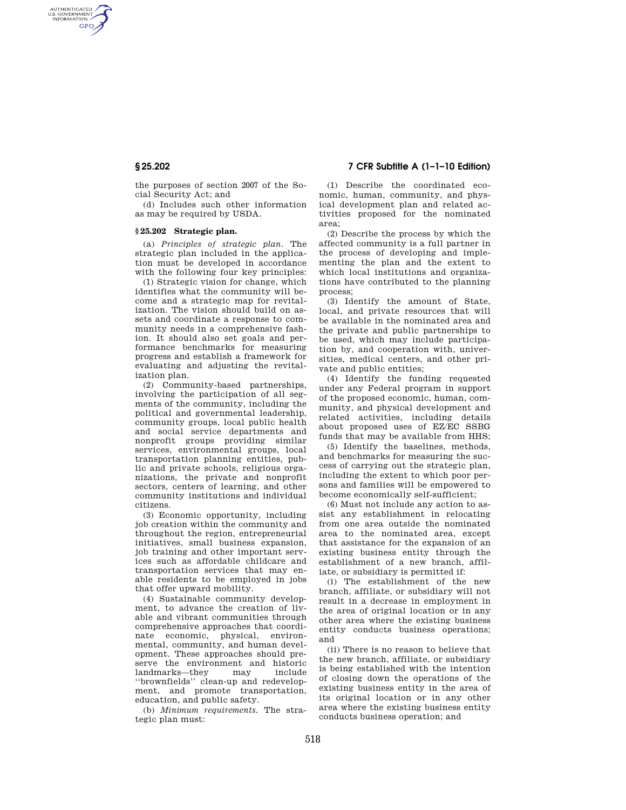AUTHENTICATED<br>U.S. GOVERNMENT<br>INFORMATION **GPO** 

> the purposes of section 2007 of the Social Security Act; and

> (d) Includes such other information as may be required by USDA.

### **§ 25.202 Strategic plan.**

(a) *Principles of strategic plan.* The strategic plan included in the application must be developed in accordance with the following four key principles:

(1) Strategic vision for change, which identifies what the community will become and a strategic map for revitalization. The vision should build on assets and coordinate a response to community needs in a comprehensive fashion. It should also set goals and performance benchmarks for measuring progress and establish a framework for evaluating and adjusting the revitalization plan.

(2) Community-based partnerships, involving the participation of all segments of the community, including the political and governmental leadership, community groups, local public health and social service departments and nonprofit groups providing similar services, environmental groups, local transportation planning entities, public and private schools, religious organizations, the private and nonprofit sectors, centers of learning, and other community institutions and individual citizens.

(3) Economic opportunity, including job creation within the community and throughout the region, entrepreneurial initiatives, small business expansion, job training and other important services such as affordable childcare and transportation services that may enable residents to be employed in jobs that offer upward mobility.

(4) Sustainable community development, to advance the creation of livable and vibrant communities through comprehensive approaches that coordinate economic, physical, environmental, community, and human development. These approaches should preserve the environment and historic landmarks—they may include ''brownfields'' clean-up and redevelopment, and promote transportation, education, and public safety.

(b) *Minimum requirements.* The strategic plan must:

# **§ 25.202 7 CFR Subtitle A (1–1–10 Edition)**

(1) Describe the coordinated economic, human, community, and physical development plan and related activities proposed for the nominated area;

(2) Describe the process by which the affected community is a full partner in the process of developing and implementing the plan and the extent to which local institutions and organizations have contributed to the planning process;

(3) Identify the amount of State, local, and private resources that will be available in the nominated area and the private and public partnerships to be used, which may include participation by, and cooperation with, universities, medical centers, and other private and public entities;

(4) Identify the funding requested under any Federal program in support of the proposed economic, human, community, and physical development and related activities, including details about proposed uses of EZ/EC SSBG funds that may be available from HHS;

(5) Identify the baselines, methods, and benchmarks for measuring the success of carrying out the strategic plan, including the extent to which poor persons and families will be empowered to become economically self-sufficient;

(6) Must not include any action to assist any establishment in relocating from one area outside the nominated area to the nominated area, except that assistance for the expansion of an existing business entity through the establishment of a new branch, affiliate, or subsidiary is permitted if:

(i) The establishment of the new branch, affiliate, or subsidiary will not result in a decrease in employment in the area of original location or in any other area where the existing business entity conducts business operations; and

(ii) There is no reason to believe that the new branch, affiliate, or subsidiary is being established with the intention of closing down the operations of the existing business entity in the area of its original location or in any other area where the existing business entity conducts business operation; and